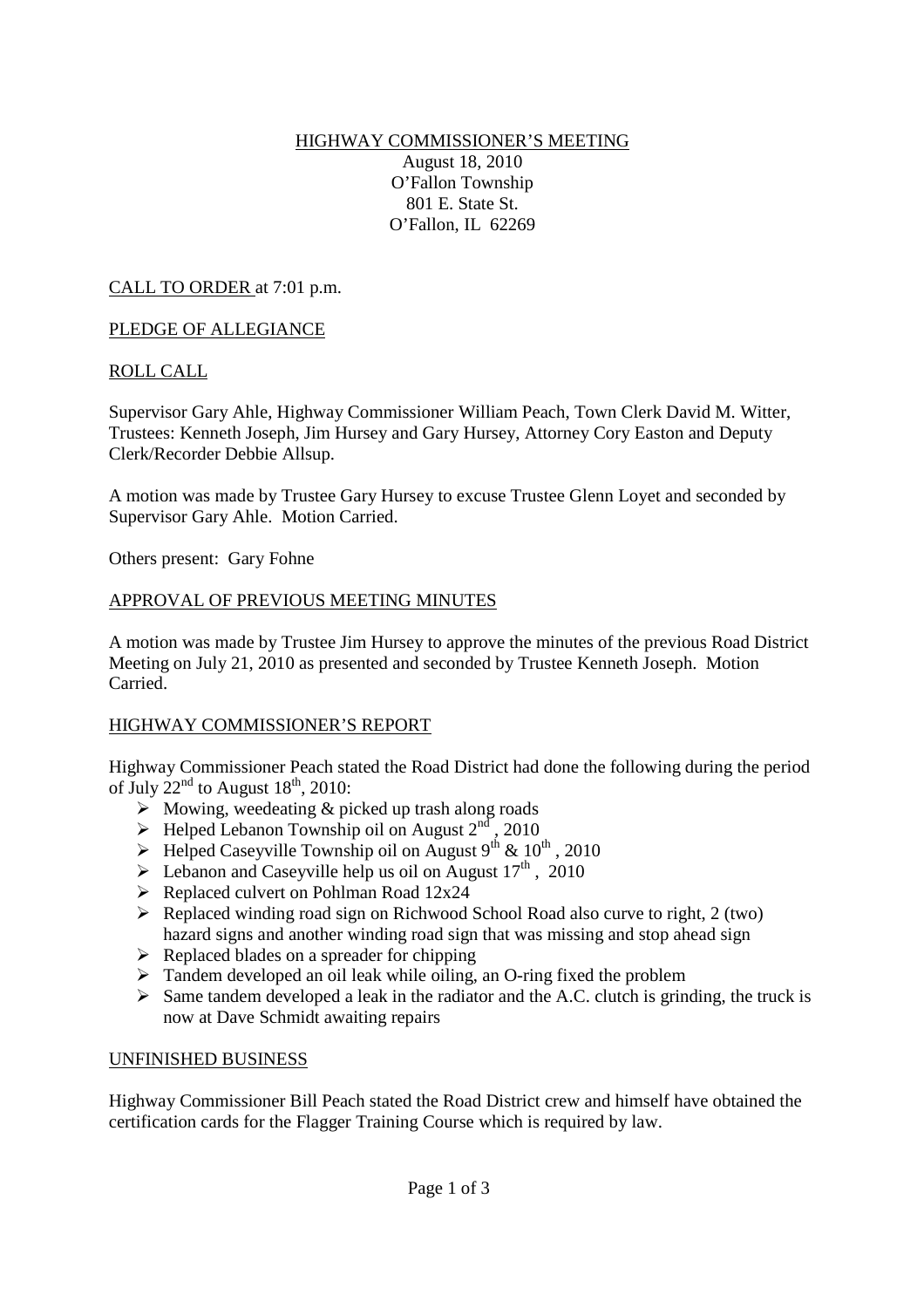### HIGHWAY COMMISSIONER'S MEETING August 18, 2010 O'Fallon Township 801 E. State St. O'Fallon, IL 62269

CALL TO ORDER at 7:01 p.m.

# PLEDGE OF ALLEGIANCE

# ROLL CALL

Supervisor Gary Ahle, Highway Commissioner William Peach, Town Clerk David M. Witter, Trustees: Kenneth Joseph, Jim Hursey and Gary Hursey, Attorney Cory Easton and Deputy Clerk/Recorder Debbie Allsup.

A motion was made by Trustee Gary Hursey to excuse Trustee Glenn Loyet and seconded by Supervisor Gary Ahle. Motion Carried.

Others present: Gary Fohne

# APPROVAL OF PREVIOUS MEETING MINUTES

A motion was made by Trustee Jim Hursey to approve the minutes of the previous Road District Meeting on July 21, 2010 as presented and seconded by Trustee Kenneth Joseph. Motion Carried.

# HIGHWAY COMMISSIONER'S REPORT

Highway Commissioner Peach stated the Road District had done the following during the period of July  $22<sup>nd</sup>$  to August  $18<sup>th</sup>$ , 2010:

- $\triangleright$  Mowing, weedeating & picked up trash along roads
- $\blacktriangleright$  Helped Lebanon Township oil on August  $2<sup>nd</sup>$ , 2010
- $\blacktriangleright$  Helped Caseyville Township oil on August 9<sup>th</sup> & 10<sup>th</sup>, 2010
- $\triangleright$  Lebanon and Caseyville help us oil on August 17<sup>th</sup>, 2010
- $\triangleright$  Replaced culvert on Pohlman Road 12x24
- $\triangleright$  Replaced winding road sign on Richwood School Road also curve to right, 2 (two) hazard signs and another winding road sign that was missing and stop ahead sign
- $\triangleright$  Replaced blades on a spreader for chipping
- $\triangleright$  Tandem developed an oil leak while oiling, an O-ring fixed the problem
- $\triangleright$  Same tandem developed a leak in the radiator and the A.C. clutch is grinding, the truck is now at Dave Schmidt awaiting repairs

#### UNFINISHED BUSINESS

Highway Commissioner Bill Peach stated the Road District crew and himself have obtained the certification cards for the Flagger Training Course which is required by law.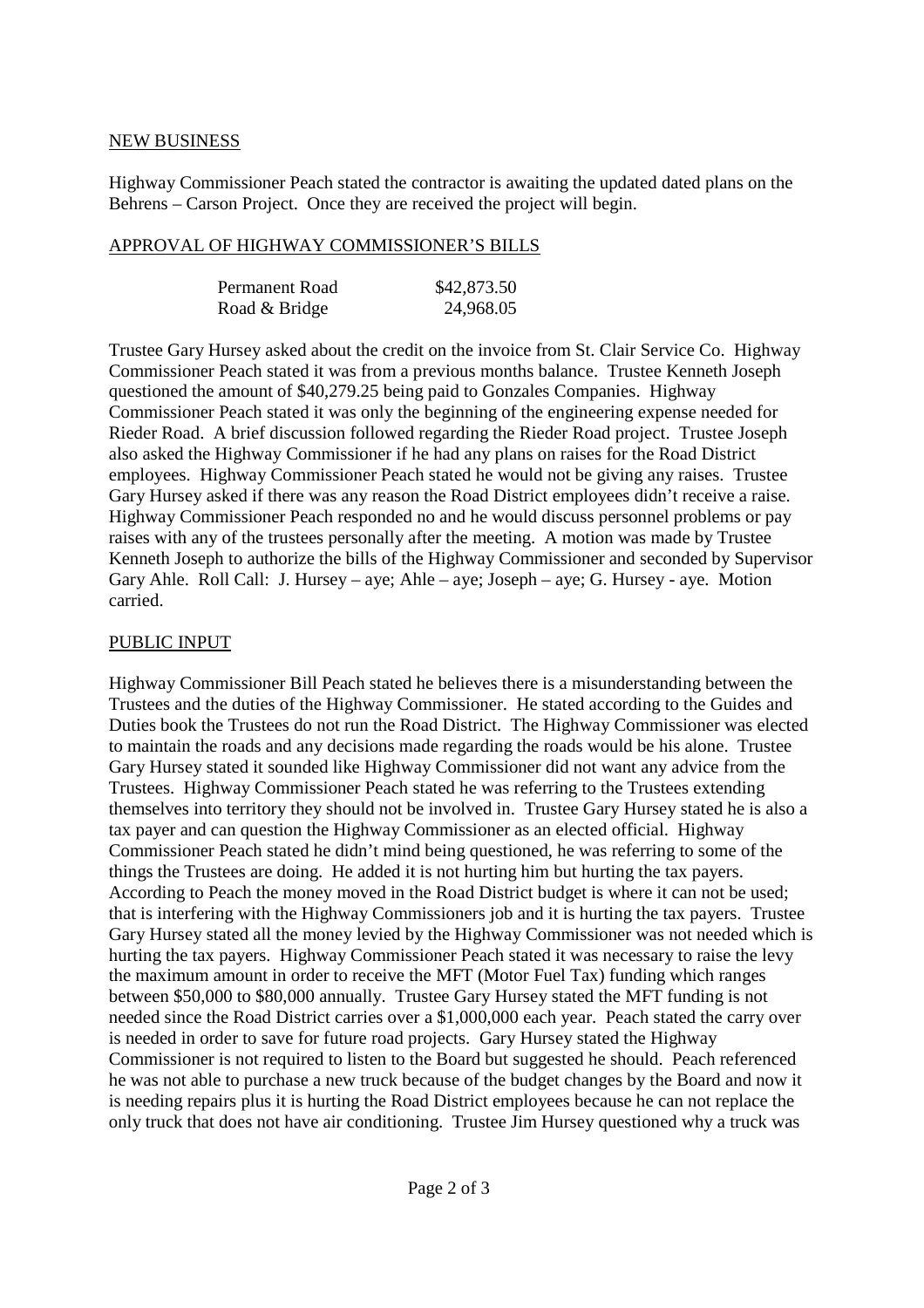### NEW BUSINESS

Highway Commissioner Peach stated the contractor is awaiting the updated dated plans on the Behrens – Carson Project. Once they are received the project will begin.

#### APPROVAL OF HIGHWAY COMMISSIONER'S BILLS

| Permanent Road | \$42,873.50 |
|----------------|-------------|
| Road & Bridge  | 24,968.05   |

Trustee Gary Hursey asked about the credit on the invoice from St. Clair Service Co. Highway Commissioner Peach stated it was from a previous months balance. Trustee Kenneth Joseph questioned the amount of \$40,279.25 being paid to Gonzales Companies. Highway Commissioner Peach stated it was only the beginning of the engineering expense needed for Rieder Road. A brief discussion followed regarding the Rieder Road project. Trustee Joseph also asked the Highway Commissioner if he had any plans on raises for the Road District employees. Highway Commissioner Peach stated he would not be giving any raises. Trustee Gary Hursey asked if there was any reason the Road District employees didn't receive a raise. Highway Commissioner Peach responded no and he would discuss personnel problems or pay raises with any of the trustees personally after the meeting. A motion was made by Trustee Kenneth Joseph to authorize the bills of the Highway Commissioner and seconded by Supervisor Gary Ahle. Roll Call: J. Hursey – aye; Ahle – aye; Joseph – aye; G. Hursey - aye. Motion carried.

### PUBLIC INPUT

Highway Commissioner Bill Peach stated he believes there is a misunderstanding between the Trustees and the duties of the Highway Commissioner. He stated according to the Guides and Duties book the Trustees do not run the Road District. The Highway Commissioner was elected to maintain the roads and any decisions made regarding the roads would be his alone. Trustee Gary Hursey stated it sounded like Highway Commissioner did not want any advice from the Trustees. Highway Commissioner Peach stated he was referring to the Trustees extending themselves into territory they should not be involved in. Trustee Gary Hursey stated he is also a tax payer and can question the Highway Commissioner as an elected official. Highway Commissioner Peach stated he didn't mind being questioned, he was referring to some of the things the Trustees are doing. He added it is not hurting him but hurting the tax payers. According to Peach the money moved in the Road District budget is where it can not be used; that is interfering with the Highway Commissioners job and it is hurting the tax payers. Trustee Gary Hursey stated all the money levied by the Highway Commissioner was not needed which is hurting the tax payers. Highway Commissioner Peach stated it was necessary to raise the levy the maximum amount in order to receive the MFT (Motor Fuel Tax) funding which ranges between \$50,000 to \$80,000 annually. Trustee Gary Hursey stated the MFT funding is not needed since the Road District carries over a \$1,000,000 each year. Peach stated the carry over is needed in order to save for future road projects. Gary Hursey stated the Highway Commissioner is not required to listen to the Board but suggested he should. Peach referenced he was not able to purchase a new truck because of the budget changes by the Board and now it is needing repairs plus it is hurting the Road District employees because he can not replace the only truck that does not have air conditioning. Trustee Jim Hursey questioned why a truck was